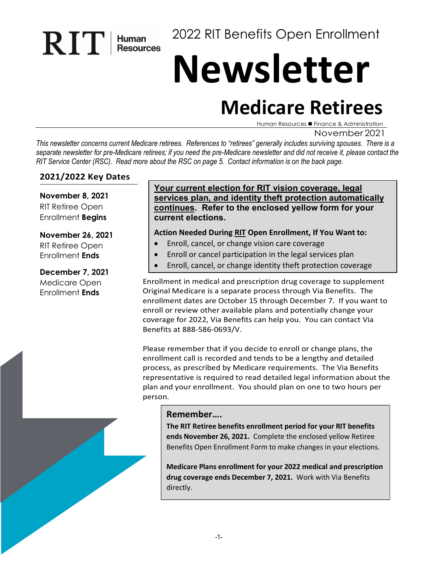2022 RIT Benefits Open Enrollment

# **Newsletter**

# **Medicare Retirees**

Human Resources ■ Finance & Administration

#### November 2021

*This newsletter concerns current Medicare retirees. References to "retirees" generally includes surviving spouses. There is a separate newsletter for pre-Medicare retirees; if you need the pre-Medicare newsletter and did not receive it, please contact the RIT Service Center (RSC). Read more about the RSC on page 5. Contact information is on the back page.* 

#### **2021/2022 Key Dates**

 $\mathbf{R}$   $\mathbf{T}$   $\mathbf{H}$  Human

**November 8, 2021** RIT Retiree Open Enrollment **Begins**

#### **November 26, 2021**

RIT Retiree Open Enrollment **Ends**

**December 7, 2021** Medicare Open Enrollment **Ends**

#### **Your current election for RIT vision coverage, legal services plan, and identity theft protection automatically continues. Refer to the enclosed yellow form for your current elections.**

#### **Action Needed During RIT Open Enrollment, If You Want to:**

- Enroll, cancel, or change vision care coverage
- Enroll or cancel participation in the legal services plan
- Enroll, cancel, or change identity theft protection coverage

Enrollment in medical and prescription drug coverage to supplement Original Medicare is a separate process through Via Benefits. The enrollment dates are October 15 through December 7. If you want to enroll or review other available plans and potentially change your coverage for 2022, Via Benefits can help you. You can contact Via Benefits at 888-586-0693/V.

Please remember that if you decide to enroll or change plans, the enrollment call is recorded and tends to be a lengthy and detailed process, as prescribed by Medicare requirements. The Via Benefits representative is required to read detailed legal information about the plan and your enrollment. You should plan on one to two hours per person.

#### **Remember….**

**The RIT Retiree benefits enrollment period for your RIT benefits ends November 26, 2021.** Complete the enclosed yellow Retiree Benefits Open Enrollment Form to make changes in your elections.

**Medicare Plans enrollment for your 2022 medical and prescription drug coverage ends December 7, 2021.** Work with Via Benefits directly.

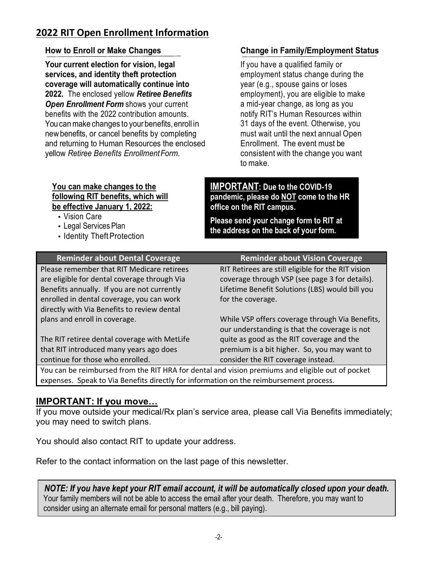# **2022 RIT Open Enrollment Information**

#### **How to Enroll or Make Changes**

**Your current election for vision, legal services, and identity theft protection coverage will automatically continue into 2022.** The enclosed yellow *Retiree Benefits Open Enrollment Form* shows your current benefits with the 2022 contribution amounts. You can make changes to your benefits, enroll in newbenefits, or cancel benefits by completing and returning to Human Resources the enclosed yellow *Retiree Benefits EnrollmentForm*.

#### **You can make changes to the following RIT benefits, which will be effective January 1, 2022:**

- Vision Care
- Legal Services Plan
- Identity Theft Protection

#### **Change in Family/Employment Status**

If you have a qualified family or employment status change during the year (e.g., spouse gains or loses employment), you are eligible to make a mid-year change, as long as you notify RIT's Human Resources within 31 days of the event. Otherwise, you must wait until the next annual Open Enrollment. The event must be consistent with the change you want to make.

**IMPORTANT: Due to the COVID-19 pandemic, please do NOT come to the HR office on the RIT campus.**

**Please send your change form to RIT at the address on the back of your form.**

| <b>Reminder about Dental Coverage</b>                                                            | <b>Reminder about Vision Coverage</b>              |  |  |
|--------------------------------------------------------------------------------------------------|----------------------------------------------------|--|--|
| Please remember that RIT Medicare retirees                                                       | RIT Retirees are still eligible for the RIT vision |  |  |
| are eligible for dental coverage through Via                                                     | coverage through VSP (see page 3 for details).     |  |  |
| Benefits annually. If you are not currently                                                      | Lifetime Benefit Solutions (LBS) would bill you    |  |  |
| enrolled in dental coverage, you can work                                                        | for the coverage.                                  |  |  |
| directly with Via Benefits to review dental                                                      |                                                    |  |  |
| plans and enroll in coverage.                                                                    | While VSP offers coverage through Via Benefits,    |  |  |
|                                                                                                  | our understanding is that the coverage is not      |  |  |
| The RIT retiree dental coverage with MetLife                                                     | quite as good as the RIT coverage and the          |  |  |
| that RIT introduced many years ago does                                                          | premium is a bit higher. So, you may want to       |  |  |
| continue for those who enrolled.                                                                 | consider the RIT coverage instead.                 |  |  |
| You can be reimbureed from the RIT HRA for dental and vision premiums and eligible out of nocket |                                                    |  |  |

ed from the RIT HRA for dental and vision premiums and eligible out of pocket expenses. Speak to Via Benefits directly for information on the reimbursement process.

#### **IMPORTANT: If you move…**

If you move outside your medical/Rx plan's service area, please call Via Benefits immediately; you may need to switch plans.

You should also contact RIT to update your address.

Refer to the contact information on the last page of this newsletter.

*NOTE: If you have kept your RIT email account, it will be automatically closed upon your death.* Your family members will not be able to access the email after your death. Therefore, you may want to consider using an alternate email for personal matters (e.g., bill paying).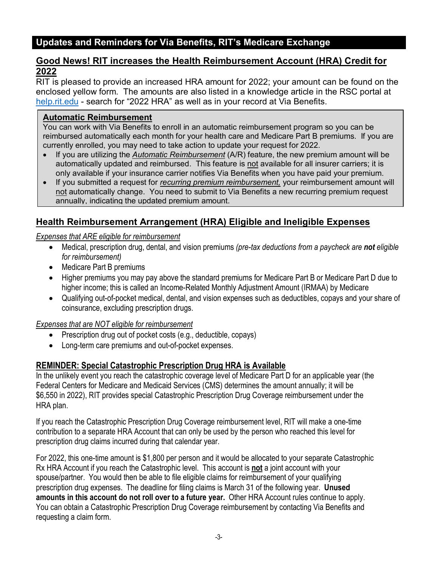#### **Updates and Reminders for Via Benefits, RIT's Medicare Exchange**

#### **Good News! RIT increases the Health Reimbursement Account (HRA) Credit for 2022**

RIT is pleased to provide an increased HRA amount for 2022; your amount can be found on the enclosed yellow form. The amounts are also listed in a knowledge article in the RSC portal at [help.rit.edu](https://help.rit.edu/sp) - search for "2022 HRA" as well as in your record at Via Benefits.

#### **Automatic Reimbursement**

You can work with Via Benefits to enroll in an automatic reimbursement program so you can be reimbursed automatically each month for your health care and Medicare Part B premiums. If you are currently enrolled, you may need to take action to update your request for 2022.

- If you are utilizing the *Automatic Reimbursement* (A/R) feature, the new premium amount will be automatically updated and reimbursed. This feature is not available for all insurer carriers; it is only available if your insurance carrier notifies Via Benefits when you have paid your premium.
- If you submitted a request for *recurring premium reimbursement,* your reimbursement amount will not automatically change. You need to submit to Via Benefits a new recurring premium request annually, indicating the updated premium amount.

#### **Health Reimbursement Arrangement (HRA) Eligible and Ineligible Expenses**

*Expenses that ARE eligible for reimbursement* 

- Medical, prescription drug, dental, and vision premiums *(pre-tax deductions from a paycheck are not eligible for reimbursement)*
- Medicare Part B premiums
- Higher premiums you may pay above the standard premiums for Medicare Part B or Medicare Part D due to higher income; this is called an Income-Related Monthly Adjustment Amount (IRMAA) by Medicare
- Qualifying out-of-pocket medical, dental, and vision expenses such as deductibles, copays and your share of coinsurance, excluding prescription drugs.

*Expenses that are NOT eligible for reimbursement* 

- Prescription drug out of pocket costs (e.g., deductible, copays)
- Long-term care premiums and out-of-pocket expenses.

#### **REMINDER: Special Catastrophic Prescription Drug HRA is Available**

In the unlikely event you reach the catastrophic coverage level of Medicare Part D for an applicable year (the Federal Centers for Medicare and Medicaid Services (CMS) determines the amount annually; it will be \$6,550 in 2022), RIT provides special Catastrophic Prescription Drug Coverage reimbursement under the HRA plan.

If you reach the Catastrophic Prescription Drug Coverage reimbursement level, RIT will make a one-time contribution to a separate HRA Account that can only be used by the person who reached this level for prescription drug claims incurred during that calendar year.

For 2022, this one-time amount is \$1,800 per person and it would be allocated to your separate Catastrophic Rx HRA Account if you reach the Catastrophic level. This account is **not** a joint account with your spouse/partner. You would then be able to file eligible claims for reimbursement of your qualifying prescription drug expenses. The deadline for filing claims is March 31 of the following year. **Unused amounts in this account do not roll over to a future year.** Other HRA Account rules continue to apply. You can obtain a Catastrophic Prescription Drug Coverage reimbursement by contacting Via Benefits and requesting a claim form.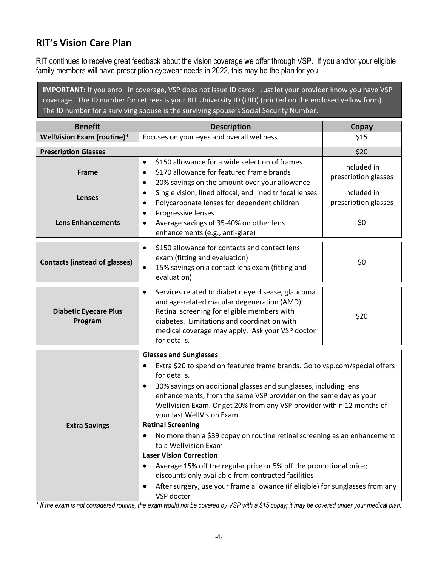# **RIT's Vision Care Plan**

RIT continues to receive great feedback about the vision coverage we offer through VSP. If you and/or your eligible family members will have prescription eyewear needs in 2022, this may be the plan for you.

**IMPORTANT:** If you enroll in coverage, VSP does not issue ID cards. Just let your provider know you have VSP coverage. The ID number for retirees is your RIT University ID (UID) (printed on the enclosed yellow form). The ID number for a surviving spouse is the surviving spouse's Social Security Number.

| <b>Benefit</b>                          | <b>Description</b>                                                                                                                                                                                                                                                                                                                                                                                                                                                                                                                                                                                                                                                                                                                                                                                 | Copay                               |
|-----------------------------------------|----------------------------------------------------------------------------------------------------------------------------------------------------------------------------------------------------------------------------------------------------------------------------------------------------------------------------------------------------------------------------------------------------------------------------------------------------------------------------------------------------------------------------------------------------------------------------------------------------------------------------------------------------------------------------------------------------------------------------------------------------------------------------------------------------|-------------------------------------|
| <b>WellVision Exam (routine)*</b>       | Focuses on your eyes and overall wellness                                                                                                                                                                                                                                                                                                                                                                                                                                                                                                                                                                                                                                                                                                                                                          | \$15                                |
| <b>Prescription Glasses</b>             |                                                                                                                                                                                                                                                                                                                                                                                                                                                                                                                                                                                                                                                                                                                                                                                                    | \$20                                |
| Frame                                   | \$150 allowance for a wide selection of frames<br>$\bullet$<br>\$170 allowance for featured frame brands<br>$\bullet$<br>20% savings on the amount over your allowance<br>$\bullet$                                                                                                                                                                                                                                                                                                                                                                                                                                                                                                                                                                                                                | Included in<br>prescription glasses |
| <b>Lenses</b>                           | Single vision, lined bifocal, and lined trifocal lenses<br>$\bullet$<br>Polycarbonate lenses for dependent children<br>$\bullet$                                                                                                                                                                                                                                                                                                                                                                                                                                                                                                                                                                                                                                                                   | Included in<br>prescription glasses |
| <b>Lens Enhancements</b>                | Progressive lenses<br>$\bullet$<br>Average savings of 35-40% on other lens<br>٠<br>enhancements (e.g., anti-glare)                                                                                                                                                                                                                                                                                                                                                                                                                                                                                                                                                                                                                                                                                 | \$0                                 |
| <b>Contacts (instead of glasses)</b>    | \$150 allowance for contacts and contact lens<br>$\bullet$<br>exam (fitting and evaluation)<br>15% savings on a contact lens exam (fitting and<br>$\bullet$<br>evaluation)                                                                                                                                                                                                                                                                                                                                                                                                                                                                                                                                                                                                                         | \$0                                 |
| <b>Diabetic Eyecare Plus</b><br>Program | Services related to diabetic eye disease, glaucoma<br>$\bullet$<br>and age-related macular degeneration (AMD).<br>Retinal screening for eligible members with<br>diabetes. Limitations and coordination with<br>medical coverage may apply. Ask your VSP doctor<br>for details.                                                                                                                                                                                                                                                                                                                                                                                                                                                                                                                    | \$20                                |
| <b>Extra Savings</b>                    | <b>Glasses and Sunglasses</b><br>Extra \$20 to spend on featured frame brands. Go to vsp.com/special offers<br>for details.<br>30% savings on additional glasses and sunglasses, including lens<br>$\bullet$<br>enhancements, from the same VSP provider on the same day as your<br>WellVision Exam. Or get 20% from any VSP provider within 12 months of<br>your last WellVision Exam.<br><b>Retinal Screening</b><br>No more than a \$39 copay on routine retinal screening as an enhancement<br>$\bullet$<br>to a WellVision Exam<br><b>Laser Vision Correction</b><br>Average 15% off the regular price or 5% off the promotional price;<br>discounts only available from contracted facilities<br>After surgery, use your frame allowance (if eligible) for sunglasses from any<br>VSP doctor |                                     |

*\* If the exam is not considered routine, the exam would not be covered by VSP with a \$15 copay; it may be covered under your medical plan.*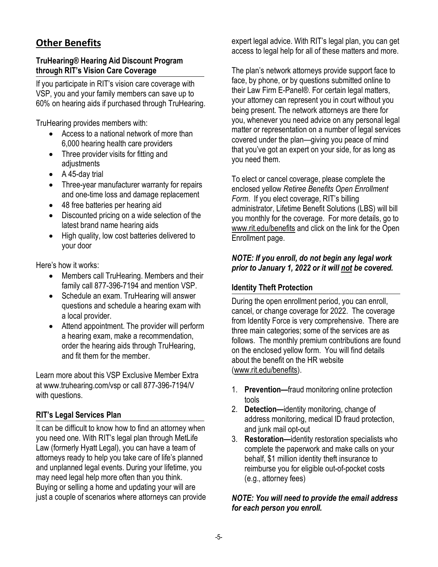# **Other Benefits**

#### **TruHearing® Hearing Aid Discount Program through RIT's Vision Care Coverage**

If you participate in RIT's vision care coverage with VSP, you and your family members can save up to 60% on hearing aids if purchased through TruHearing.

TruHearing provides members with:

- Access to a national network of more than 6,000 hearing health care providers
- Three provider visits for fitting and adjustments
- A 45-day trial
- Three-year manufacturer warranty for repairs and one-time loss and damage replacement
- 48 free batteries per hearing aid
- Discounted pricing on a wide selection of the latest brand name hearing aids
- High quality, low cost batteries delivered to your door

Here's how it works:

- Members call TruHearing. Members and their family call 877-396-7194 and mention VSP.
- Schedule an exam. TruHearing will answer questions and schedule a hearing exam with a local provider.
- Attend appointment. The provider will perform a hearing exam, make a recommendation, order the hearing aids through TruHearing, and fit them for the member.

Learn more about this VSP Exclusive Member Extra at [www.truhearing.com/vsp o](http://www.truhearing.com/vsp)r call 877-396-7194/V with questions.

#### **RIT's Legal Services Plan**

It can be difficult to know how to find an attorney when you need one. With RIT's legal plan through MetLife Law (formerly Hyatt Legal), you can have a team of attorneys ready to help you take care of life's planned and unplanned legal events. During your lifetime, you may need legal help more often than you think. Buying or selling a home and updating your will are just a couple of scenarios where attorneys can provide expert legal advice. With RIT's legal plan, you can get access to legal help for all of these matters and more.

The plan's network attorneys provide support face to face, by phone, or by questions submitted online to their Law Firm E-Panel®. For certain legal matters, your attorney can represent you in court without you being present. The network attorneys are there for you, whenever you need advice on any personal legal matter or representation on a number of legal services covered under the plan—giving you peace of mind that you've got an expert on your side, for as long as you need them.

To elect or cancel coverage, please complete the enclosed yellow *Retiree Benefits Open Enrollment Form*. If you elect coverage, RIT's billing administrator, Lifetime Benefit Solutions (LBS) will bill you monthly for the coverage. For more details, go to [www.rit.edu/benefits](http://www.rit.edu/benefits) and click on the link for the Open Enrollment page.

#### *NOTE: If you enroll, do not begin any legal work prior to January 1, 2022 or it will not be covered.*

#### **Identity Theft Protection**

During the open enrollment period, you can enroll, cancel, or change coverage for 2022. The coverage from Identity Force is very comprehensive. There are three main categories; some of the services are as follows. The monthly premium contributions are found on the enclosed yellow form. You will find details about the benefit on the HR website [\(www.rit.edu/benefits\)](http://www.rit.edu/benefits).

- 1. **Prevention—**fraud monitoring online protection tools
- 2. **Detection—**identity monitoring, change of address monitoring, medical ID fraud protection, and junk mail opt-out
- 3. **Restoration—**identity restoration specialists who complete the paperwork and make calls on your behalf, \$1 million identity theft insurance to reimburse you for eligible out-of-pocket costs (e.g., attorney fees)

#### *NOTE: You will need to provide the email address for each person you enroll.*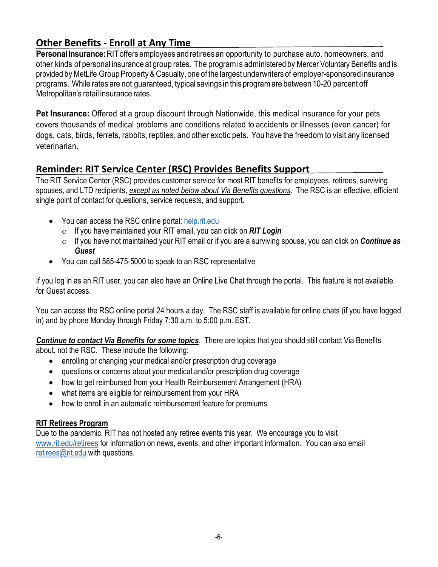# **Other Benefits - Enroll at Any Time**

**PersonalInsurance:**RIToffers employees andretireesan opportunity to purchase auto, homeowners, and other kinds of personal insurance at group rates. The programis administered by Mercer Voluntary Benefits and is provided by MetLife Group Property & Casualty, one of the largest underwriters of employer-sponsored insurance programs. While rates are not guaranteed, typical savings in this program are between 10-20 percent off Metropolitan's retail insurance rates.

**Pet Insurance:** Offered at a group discount through Nationwide, this medical insurance for your pets covers thousands of medical problems and conditions related to accidents or illnesses (even cancer) for dogs, cats, birds, ferrets, rabbits, reptiles, and other exotic pets. You have the freedom to visit any licensed veterinarian.

### **Reminder: RIT Service Center (RSC) Provides Benefits Support**

The RIT Service Center (RSC) provides customer service for most RIT benefits for employees, retirees, surviving spouses, and LTD recipients, *except as noted below about Via Benefits questions*. The RSC is an effective, efficient single point of contact for questions, service requests, and support.

- You can access the RSC online portal: [help.rit.edu](https://help.rit.edu/sp)
	- o If you have maintained your RIT email, you can click on *RIT Login*
	- o If you have not maintained your RIT email or if you are a surviving spouse, you can click on *Continue as Guest*
- You can call 585-475-5000 to speak to an RSC representative

If you log in as an RIT user, you can also have an Online Live Chat through the portal. This feature is not available for Guest access.

You can access the RSC online portal 24 hours a day. The RSC staff is available for online chats (if you have logged in) and by phone Monday through Friday 7:30 a.m. to 5:00 p.m. EST.

*Continue to contact Via Benefits for some topics*. There are topics that you should still contact Via Benefits about, not the RSC. These include the following:

- enrolling or changing your medical and/or prescription drug coverage
- questions or concerns about your medical and/or prescription drug coverage
- how to get reimbursed from your Health Reimbursement Arrangement (HRA)
- what items are eligible for reimbursement from your HRA
- how to enroll in an automatic reimbursement feature for premiums

#### **RIT Retirees Program**

Due to the pandemic, RIT has not hosted any retiree events this year. We encourage you to visit [www.rit.edu/retirees](http://www.rit.edu/retirees) for information on news, events, and other important information. You can also email [retirees@rit.edu](mailto:retirees@rit.edu) with questions.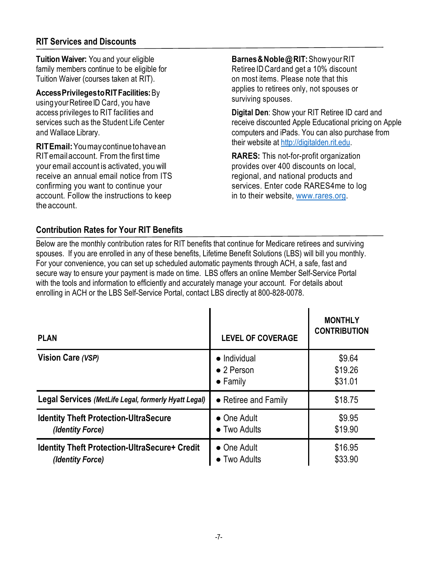**Tuition Waiver:** You and your eligible family members continue to be eligible for Tuition Waiver (courses taken at RIT).

**AccessPrivilegestoRITFacilities:**By using your Retiree ID Card, you have access privileges to RIT facilities and services such as the Student Life Center and Wallace Library.

**RITEmail:**Youmaycontinuetohavean RITemailaccount. From the first time your email account is activated, you will receive an annual email notice from ITS confirming you want to continue your account. Follow the instructions to keep the account.

**Barnes&Noble@RIT:**ShowyourRIT Retiree IDCard and get a 10% discount on most items. Please note that this applies to retirees only, not spouses or surviving spouses.

**Digital Den**: Show your RIT Retiree ID card and receive discounted Apple Educational pricing on Apple computers and iPads. You can also purchase from their website at [http://digitalden.rit.edu.](http://digitalden.rit.edu/)

**RARES:** This not-for-profit organization provides over 400 discounts on local, regional, and national products and services. Enter code RARES4me to log in to their website, [www.rares.org.](http://www.rares.org/)

#### **Contribution Rates for Your RIT Benefits**

Below are the monthly contribution rates for RIT benefits that continue for Medicare retirees and surviving spouses. If you are enrolled in any of these benefits, Lifetime Benefit Solutions (LBS) will bill you monthly. For your convenience, you can set up scheduled automatic payments through ACH, a safe, fast and secure way to ensure your payment is made on time. LBS offers an online Member Self-Service Portal with the tools and information to efficiently and accurately manage your account. For details about enrolling in ACH or the LBS Self-Service Portal, contact LBS directly at 800-828-0078.

| <b>PLAN</b>                                                              | <b>LEVEL OF COVERAGE</b>                                       | <b>MONTHLY</b><br><b>CONTRIBUTION</b> |
|--------------------------------------------------------------------------|----------------------------------------------------------------|---------------------------------------|
| Vision Care (VSP)                                                        | $\bullet$ Individual<br>$\bullet$ 2 Person<br>$\bullet$ Family | \$9.64<br>\$19.26<br>\$31.01          |
| Legal Services (MetLife Legal, formerly Hyatt Legal)                     | • Retiree and Family                                           | \$18.75                               |
| <b>Identity Theft Protection-UltraSecure</b><br>(Identity Force)         | • One Adult<br>$\bullet$ Two Adults                            | \$9.95<br>\$19.90                     |
| <b>Identity Theft Protection-UltraSecure+ Credit</b><br>(Identity Force) | • One Adult<br>• Two Adults                                    | \$16.95<br>\$33.90                    |